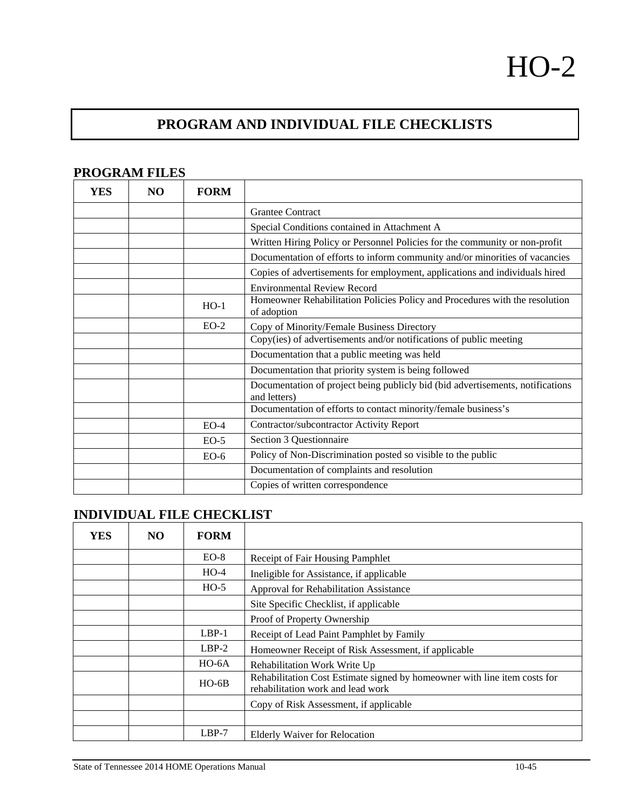## **PROGRAM AND INDIVIDUAL FILE CHECKLISTS**

| YES | NO. | <b>FORM</b> |                                                                                                |
|-----|-----|-------------|------------------------------------------------------------------------------------------------|
|     |     |             | <b>Grantee Contract</b>                                                                        |
|     |     |             | Special Conditions contained in Attachment A                                                   |
|     |     |             | Written Hiring Policy or Personnel Policies for the community or non-profit                    |
|     |     |             | Documentation of efforts to inform community and/or minorities of vacancies                    |
|     |     |             | Copies of advertisements for employment, applications and individuals hired                    |
|     |     |             | <b>Environmental Review Record</b>                                                             |
|     |     | $HO-1$      | Homeowner Rehabilitation Policies Policy and Procedures with the resolution<br>of adoption     |
|     |     | $EO-2$      | Copy of Minority/Female Business Directory                                                     |
|     |     |             | Copy(ies) of advertisements and/or notifications of public meeting                             |
|     |     |             | Documentation that a public meeting was held                                                   |
|     |     |             | Documentation that priority system is being followed                                           |
|     |     |             | Documentation of project being publicly bid (bid advertisements, notifications<br>and letters) |
|     |     |             | Documentation of efforts to contact minority/female business's                                 |
|     |     | $EO-4$      | Contractor/subcontractor Activity Report                                                       |
|     |     | $EO-5$      | Section 3 Questionnaire                                                                        |
|     |     | $EO-6$      | Policy of Non-Discrimination posted so visible to the public                                   |
|     |     |             | Documentation of complaints and resolution                                                     |
|     |     |             | Copies of written correspondence                                                               |

## **INDIVIDUAL FILE CHECKLIST**

| <b>YES</b> | NO. | <b>FORM</b> |                                                                                                                |
|------------|-----|-------------|----------------------------------------------------------------------------------------------------------------|
|            |     | $EO-8$      | Receipt of Fair Housing Pamphlet                                                                               |
|            |     | $HO-4$      | Ineligible for Assistance, if applicable                                                                       |
|            |     | $HO-5$      | Approval for Rehabilitation Assistance                                                                         |
|            |     |             | Site Specific Checklist, if applicable                                                                         |
|            |     |             | Proof of Property Ownership                                                                                    |
|            |     | $LBP-1$     | Receipt of Lead Paint Pamphlet by Family                                                                       |
|            |     | $LBP-2$     | Homeowner Receipt of Risk Assessment, if applicable                                                            |
|            |     | $HO-6A$     | Rehabilitation Work Write Up                                                                                   |
|            |     | $HO-6B$     | Rehabilitation Cost Estimate signed by homeowner with line item costs for<br>rehabilitation work and lead work |
|            |     |             | Copy of Risk Assessment, if applicable                                                                         |
|            |     |             |                                                                                                                |
|            |     | $LBP-7$     | <b>Elderly Waiver for Relocation</b>                                                                           |